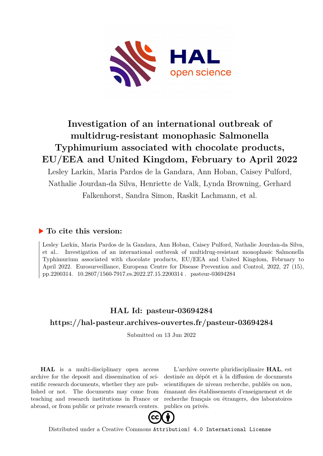

# **Investigation of an international outbreak of multidrug-resistant monophasic Salmonella Typhimurium associated with chocolate products, EU/EEA and United Kingdom, February to April 2022**

Lesley Larkin, Maria Pardos de la Gandara, Ann Hoban, Caisey Pulford, Nathalie Jourdan-da Silva, Henriette de Valk, Lynda Browning, Gerhard Falkenhorst, Sandra Simon, Raskit Lachmann, et al.

### **To cite this version:**

Lesley Larkin, Maria Pardos de la Gandara, Ann Hoban, Caisey Pulford, Nathalie Jourdan-da Silva, et al.. Investigation of an international outbreak of multidrug-resistant monophasic Salmonella Typhimurium associated with chocolate products, EU/EEA and United Kingdom, February to April 2022. Eurosurveillance, European Centre for Disease Prevention and Control, 2022, 27 (15), pp.2200314. 10.2807/1560-7917.es.2022.27.15.2200314. pasteur-03694284

## **HAL Id: pasteur-03694284 <https://hal-pasteur.archives-ouvertes.fr/pasteur-03694284>**

Submitted on 13 Jun 2022

**HAL** is a multi-disciplinary open access archive for the deposit and dissemination of scientific research documents, whether they are published or not. The documents may come from teaching and research institutions in France or abroad, or from public or private research centers.

L'archive ouverte pluridisciplinaire **HAL**, est destinée au dépôt et à la diffusion de documents scientifiques de niveau recherche, publiés ou non, émanant des établissements d'enseignement et de recherche français ou étrangers, des laboratoires publics ou privés.



Distributed under a Creative Commons [Attribution| 4.0 International License](http://creativecommons.org/licenses/by/4.0/)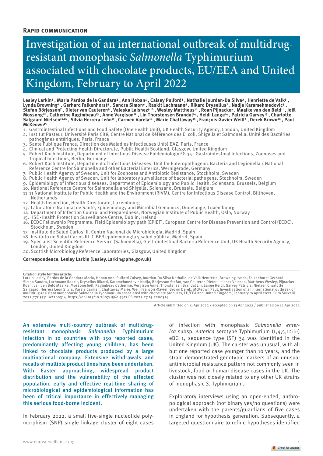#### **Rapid communication**

# Investigation of an international outbreak of multidrugresistant monophasic *Salmonella* Typhimurium associated with chocolate products, EU/EEA and United Kingdom, February to April 2022

Lesley Larkin<del>'</del> , Maria Pardos de la Gandara² , Ann Hoban<del>'</del> , Caisey Pulford<del>'</del> , Nathalie Jourdan-Da Silva**ʾ , Henriette de Valk**ʾ , Lynda Browning4 , Gerhard Falkenhorst<sup>s</sup> , Sandra Simon**6 , Raskit Lachmann5 , Rikard Dryselius<sup>7</sup> , Nadja** Karamehmedovic<sup>8</sup> , **Stefan Börjesson⁷ , Dieter van Cauteren⁹ , Valeska Laisnez9,16 , Wesley Mattheus10 , Roan Pijnacker , Maaike van den Beld11 , Joël Mossong12 , Catherine Ragimbeau13 , Anne Vergison12 , Lin Thorstensen Brandal14 , Heidi Lange14 , Patricia Garvey15 , Charlotte Salgaard Nielsen15,16 , Silvia Herrera León17 , Carmen Varela18 , Marie Chattaway19 , François-Xavier Weill² , Derek Brown20 , Paul McKeown15**

- 1. Gastrointestinal Infections and Food Safety (One Health Unit), UK Health Security Agency, London, United Kingdom
- 2. Institut Pasteur, Université Paris Cité, Centre National de Référence des E. coli, Shigella et Salmonella, Unité des Bactéries pathogènes entériques, Paris, France
- 3. Sante Publique France, Direction des Maladies Infectieuses Unité EAZ, Paris, France
- 4. Clinical and Protecting Health Directorate, Public Health Scotland, Glasgow, United Kingdom
- 5. Robert Koch Institute, Department of Infectious Disease Epidemiology FG 35 Gastrointestinal Infections, Zoonoses and Tropical Infections, Berlin, Germany
- 6. Robert Koch Institute, Department of Infectious Diseases, Unit for Enteropathogenic Bacteria and Legionella / National Reference Centre for Salmonella and other Bacterial Enterics, Wernigerode, Germany
- 7. Public Health Agency of Sweden, Unit for Zoonoses and Antibiotic Resistance, Stockholm, Sweden
- 8. Public Health Agency of Sweden, Unit for laboratory surveillance of bacterial pathogens, Stockholm, Sweden
- 9. Epidemiology of infectious diseases, Department of Epidemiology and Public Health, Sciensano, Brussels, Belgium
- 10. National Reference Centre for Salmonella and Shigella, Sciensano, Brussels, Belgium
- 11.11 National Institute for Public Health and the Environment (RIVM), Centre for Infectious Disease Control, Bilthoven, Netherlands
- 12. Health Inspection, Health Directorate, Luxembourg
- 13. Laboratoire National de Santé, Epidemiology and Microbial Genomics, Dudelange, Luxembourg
- 14. Department of Infection Control and Preparedness, Norwegian Institute of Public Health, Oslo, Norway
- 15. HSE -Health Protection Surveillance Centre, Dublin, Ireland
- 16. ECDC Fellowship Programme, Field Epidemiology path (EPIET), European Centre for Disease Prevention and Control (ECDC), Stockholm, Sweden
- 17. Instituto de Salud Carlos III. Centro Nacional de Microbiología, Madrid, Spain
- 18. Instituto de Salud Carlos III. CIBER epidemiología y salud pública. Madrid, Spain
- 19. Specialist Scientific Reference Service (Salmonella), Gastrointestinal Bacteria Reference Unit, UK Health Security Agency, London, United Kingdom
- 20. Scottish Microbiology Reference Laboratories, Glasgow, United Kingdom

#### **Correspondence: Lesley Larkin (Lesley.Larkin@phe.gov.uk)**

Citation style for this article:<br>Larkin Lesley, Pardos de la Gandara Maria, Hoban Ann, Pulford Caisey, Jourdan-Da Silva Nathalie, de Valk Henriette, Browning Lynda, Falkenhorst Gerhard,<br>Simon Sandra, Lachos de la Gandara M 2022;27(15):pii=2200314. https://doi.org/10.2807/1560-7917.ES.2022.27.15.2200314

Article submitted on 11 Apr 2022 / accepted on 13 Apr 2022 / published on 14 Apr 2022

An extensive multi-country outbreak of multidrugresistant monophasic *Salmonella* Typhimurium infection in 10 countries with 150 reported cases, predominantly affecting young children, has been linked to chocolate products produced by a large multinational company. Extensive withdrawals and recalls of multiple product lines have been undertaken. With Easter approaching, widespread product distribution and the vulnerability of the affected population, early and effective real-time sharing of microbiological and epidemiological information has been of critical importance in effectively managing this serious food-borne incident.

In February 2022, a small five-single nucleotide polymorphism (SNP) single linkage cluster of eight cases

of infection with monophasic *Salmonella enterica* subsp. *enterica* serotype Typhimurium  $(1, 4, 5, 12$ :i:-) eBG 1, sequence type (ST) 34 was identified in the United Kingdom (UK). The cluster was unusual, with all but one reported case younger than 10 years, and the strain demonstrated genotypic markers of an unusual antimicrobial resistance pattern not commonly seen in livestock, food or human disease cases in the UK. The cluster was not closely related to any other UK strains of monophasic *S.* Typhimurium.

Exploratory interviews using an open-ended, anthropological approach (not binary yes/no questions) were undertaken with the parents/guardians of five cases in England for hypothesis generation. Subsequently, a targeted questionnaire to refine hypotheses identified

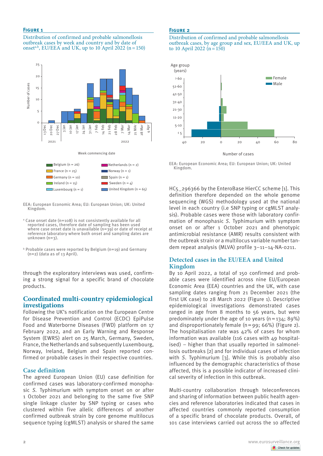#### **Figure 1**

Distribution of confirmed and probable salmonellosis outbreak cases by week and country and by date of onset<sup>a,b</sup>, EU/EEA and UK, up to 10 April 2022 (n = 150)



EEA: European Economic Area; EU: European Union; UK: United Kingdom.

- a Case onset date (n=108) is not consistently available for all reported cases, therefore date of sampling has been used where case onset date is unavailable (n=39) or date of receipt at reference laboratory where both onset and sampling dates are  $unknown(n=3)$ .
- b Probable cases were reported by Belgium (n=19) and Germany  $(n=2)$  (data as of 13 April).

through the exploratory interviews was used, confirming a strong signal for a specific brand of chocolate products.

#### **Coordinated multi-country epidemiological investigations**

Following the UK's notification on the European Centre for Disease Prevention and Control (ECDC) EpiPulse Food and Waterborne Diseases (FWD) platform on 17 February 2022, and an Early Warning and Response System (EWRS) alert on 25 March, Germany, Sweden, France, the Netherlands and subsequently Luxembourg, Norway, Ireland, Belgium and Spain reported confirmed or probable cases in their respective countries.

#### **Case definition**

The agreed European Union (EU) case definition for confirmed cases was laboratory-confirmed monophasic *S.* Typhimurium with symptom onset on or after 1 October 2021 and belonging to the same five SNP single linkage cluster by SNP typing or cases who clustered within five allelic differences of another confirmed outbreak strain by core genome multilocus sequence typing (cgMLST) analysis or shared the same

#### **Figure 2**

Distribution of confirmed and probable salmonellosis outbreak cases, by age group and sex, EU/EEA and UK, up to 10 April 2022 ( $n = 150$ )



EEA: European Economic Area; EU: European Union; UK: United Kingdom.

HC5\_296366 by the EnteroBase HierCC scheme [1]. This definition therefore depended on the whole genome sequencing (WGS) methodology used at the national level in each country (i.e SNP typing or cgMLST analysis). Probable cases were those with laboratory confirmation of monophasic *S.* Typhimurium with symptom onset on or after 1 October 2021 and phenotypic antimicrobial resistance (AMR) results consistent with the outbreak strain or a multilocus variable number tandem repeat analysis (MLVA) profile 3–11–14-NA-0211.

#### **Detected cases in the EU/EEA and United Kingdom**

By 10 April 2022, a total of 150 confirmed and probable cases were identified across nine EU/European Economic Area (EEA) countries and the UK, with case sampling dates ranging from 21 December 2021 (the first UK case) to 28 March 2022 (Figure 1). Descriptive epidemiological investigations demonstrated cases ranged in age from 8 months to 56 years, but were predominately under the age of 10 years  $(n=134: 89\%)$ and disproportionately female  $(n=99; 66%)$  (Figure 2). The hospitalisation rate was 42% of cases for whom information was available (116 cases with 49 hospitalised) – higher than that usually reported in salmonellosis outbreaks [2] and for individual cases of infection with *S*. Typhimurium [3]. While this is probably also influenced by the demographic characteristics of those affected, this is a possible indicator of increased clinical severity of infection in this outbreak.

Multi-country collaboration through teleconferences and sharing of information between public health agencies and reference laboratories indicated that cases in affected countries commonly reported consumption of a specific brand of chocolate products. Overall, of 101 case interviews carried out across the 10 affected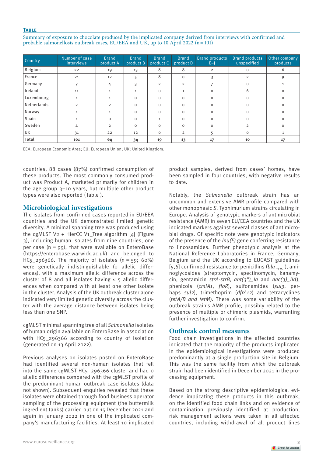#### **Table**

Summary of exposure to chocolate produced by the implicated company derived from interviews with confirmed and probable salmonellosis outbreak cases, EU/EEA and UK, up to 10 April 2022 (n = 101)

| Country      | Number of case<br>interviews | <b>Brand</b><br>product A | <b>Brand</b><br>product B | <b>Brand</b><br>product C | <b>Brand</b><br>product D | <b>Brand products</b><br>$E-1$ | <b>Brand products</b><br>unspecified | Other company<br>products |
|--------------|------------------------------|---------------------------|---------------------------|---------------------------|---------------------------|--------------------------------|--------------------------------------|---------------------------|
| Belgium      | 22                           | 19                        | 13                        | 8                         | 8                         | 2                              | $\circ$                              | 6                         |
| France       | 21                           | 12                        | 5                         | 8                         | $\mathbf 0$               | 3                              | $\overline{2}$                       | 9                         |
| Germany      |                              | 4                         | 3                         | $\overline{2}$            | $\overline{2}$            |                                | $\circ$                              |                           |
| Ireland      | 11                           | $\mathbf{1}$              | $\mathbf{1}$              | $\Omega$                  | $\mathbf{1}$              | $\Omega$                       | 6                                    | 0                         |
| Luxembourg   | 1                            |                           | $\mathbf 0$               | $\Omega$                  | $\circ$                   | $\Omega$                       | $\circ$                              | $\circ$                   |
| Netherlands  | $\overline{2}$               | $\overline{2}$            | $\mathbf 0$               | $\Omega$                  | $\mathbf 0$               | $\Omega$                       | $\mathbf 0$                          | $\circ$                   |
| Norway       | $\mathbf{1}$                 | $\mathbf{1}$              | $\circ$                   | $\Omega$                  | $\mathbf 0$               | $\Omega$                       | $\circ$                              | $\circ$                   |
| Spain        |                              | 0                         | $\circ$                   | 1                         | $\mathbf 0$               | $\Omega$                       | $\circ$                              | $\circ$                   |
| Sweden       | 4                            | $\overline{2}$            | $\mathsf O$               | $\circ$                   | $\mathbf 0$               | $\Omega$                       | $\overline{2}$                       | $\circ$                   |
| UK           | 31                           | 22                        | 12                        | $\circ$                   | $\overline{2}$            | 5                              | $\circ$                              |                           |
| <b>Total</b> | 101                          | 64                        | 34                        | 19                        | 13                        | 17                             | 10                                   | 17                        |

EEA: European Economic Area; EU: European Union; UK: United Kingdom.

countries, 88 cases (87%) confirmed consumption of these products. The most commonly consumed product was Product A, marketed primarily for children in the age group 3–10 years, but multiple other product types were also reported (Table ).

#### **Microbiological investigations**

The isolates from confirmed cases reported in EU/EEA countries and the UK demonstrated limited genetic diversity. A minimal spanning tree was produced using the cgMLST V2 + HierCC V1\_Tree algorithm  $[4]$  (Figure 3), including human isolates from nine countries, one per case  $(n = 99)$ , that were available on EnteroBase (https://enterobase.warwick.ac.uk) and belonged to  $HC<sub>5</sub>$  296366. The majority of isolates (n = 59; 60%) were genetically indistinguishable (o allelic differences), with a maximum allelic difference across the cluster of 8 and all isolates having  $\leq$  5 allelic differences when compared with at least one other isolate in the cluster. Analysis of the UK outbreak cluster alone indicated very limited genetic diversity across the cluster with the average distance between isolates being less than one SNP.

cgMLST minimal spanning tree of all *Salmonella* isolates of human origin available on EnteroBase in association with HC<sub>5</sub> 296366 according to country of isolation (generated on 13 April 2022).

Previous analyses on isolates posted on EnteroBase had identified several non-human isolates that fell into the same cgMLST HC<sub>5</sub> 296366 cluster and had o allelic differences compared with the cgMLST profile of the predominant human outbreak case isolates (data not shown). Subsequent enquiries revealed that these isolates were obtained through food business operator sampling of the processing equipment (the buttermilk ingredient tanks) carried out on 15 December 2021 and again in January 2022 in one of the implicated company's manufacturing facilities. At least 10 implicated product samples, derived from cases' homes, have been sampled in four countries, with negative results to date.

Notably, the *Salmonella* outbreak strain has an uncommon and extensive AMR profile compared with other monophasic *S*. Typhimurium strains circulating in Europe. Analysis of genotypic markers of antimicrobial resistance (AMR) in seven EU/EEA countries and the UK indicated markers against several classes of antimicrobial drugs. Of specific note were genotypic indicators of the presence of the *lnu(F)* gene conferring resistance to lincosamides. Further phenotypic analysis at the National Reference Laboratories in France, Germany, Belgium and the UK according to EUCAST guidelines [5,6] confirmed resistance to: penicillins (bla <sub>TEM-1</sub>), aminoglycosides (streptomycin, spectinomycin, kanamycin, gentamicin *strA-strB*, *ant(3")\_Ia* and *aac(3)\_IId*), phenicols (*cmlA1*, *floR*), sulfonamides (*sul3*, perhaps *sul2*), trimethoprim (*dfrA12*) and tetracyclines (*tetA/B and tetM*). There was some variability of the outbreak strain's AMR profile, possibly related to the presence of multiple or chimeric plasmids, warranting further investigation to confirm.

### **Outbreak control measures**

Food chain investigations in the affected countries indicated that the majority of the products implicated in the epidemiological investigations were produced predominantly at a single production site in Belgium. This was the same facility from which the outbreak strain had been identified in December 2021 in the processing equipment.

Based on the strong descriptive epidemiological evidence implicating these products in this outbreak, on the identified food chain links and on evidence of contamination previously identified at production, risk management actions were taken in all affected countries, including withdrawal of all product lines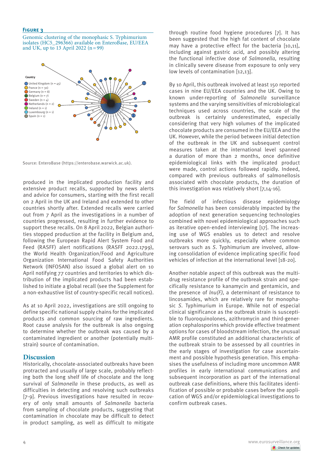#### **Figure 3**

Genomic clustering of the monophasic S. Typhimurium isolates (HC5\_296366) available on EnteroBase, EU/EEA and UK, up to 13 April 2022  $(n=99)$ 



Source: EnteroBase (https://enterobase.warwick.ac.uk).

produced in the implicated production facility and extensive product recalls, supported by news alerts and advice for consumers, starting with the first recall on 2 April in the UK and Ireland and extended to other countries shortly after. Extended recalls were carried out from 7 April as the investigations in a number of countries progressed, resulting in further evidence to support these recalls. On 8 April 2022, Belgian authorities stopped production at the facility in Belgium and, following the European Rapid Alert System Food and Feed (RASFF) alert notifications (RASFF 2022.1799), the World Health Organization/Food and Agriculture Organization International Food Safety Authorities Network (INFOSAN) also issued a global alert on 10 April notifying 77 countries and territories to which distribution of the implicated products had been established to initiate a global recall (see the Supplement for a non-exhaustive list of country-specific recall notices).

As at 10 April 2022, investigations are still ongoing to define specific national supply chains for the implicated products and common sourcing of raw ingredients. Root cause analysis for the outbreak is also ongoing to determine whether the outbreak was caused by a contaminated ingredient or another (potentially multistrain) source of contamination.

#### **Discussion**

Historically, chocolate-associated outbreaks have been protracted and usually of large scale, probably reflecting both the long shelf life of chocolate and the long survival of *Salmonella* in these products, as well as difficulties in detecting and resolving such outbreaks [7-9]. Previous investigations have resulted in recovery of only small amounts of *Salmonella* bacteria from sampling of chocolate products, suggesting that contamination in chocolate may be difficult to detect in product sampling, as well as difficult to mitigate

through routine food hygiene procedures [7]. It has been suggested that the high fat content of chocolate may have a protective effect for the bacteria [10,11], including against gastric acid, and possibly altering the functional infective dose of *Salmonella,* resulting in clinically severe disease from exposure to only very low levels of contamination [12,13].

By 10 April, this outbreak involved at least 150 reported cases in nine EU/EEA countries and the UK. Owing to known under-reporting of *Salmonella* surveillance systems and the varying sensitivities of microbiological techniques used across countries, the scale of the outbreak is certainly underestimated, especially considering that very high volumes of the implicated chocolate products are consumed in the EU/EEA and the UK. However, while the period between initial detection of the outbreak in the UK and subsequent control measures taken at the international level spanned a duration of more than 2 months, once definitive epidemiological links with the implicated product were made, control actions followed rapidly. Indeed, compared with previous outbreaks of salmonellosis associated with chocolate products, the duration of this investigation was relatively short [7,14-16].

The field of infectious disease epidemiology for *Salmonella* has been considerably impacted by the adoption of next generation sequencing technologies combined with novel epidemiological approaches such as iterative open-ended interviewing [17]. The increasing use of WGS enables us to detect and resolve outbreaks more quickly, especially where common serovars such as *S*. Typhimurium are involved, allowing consolidation of evidence implicating specific food vehicles of infection at the international level [18-20].

Another notable aspect of this outbreak was the multidrug resistance profile of the outbreak strain and specifically resistance to kanamycin and gentamicin, and the presence of *lnu(F)*, a determinant of resistance to lincosamides, which are relatively rare for monophasic *S*. Typhimurium in Europe. While not of especial clinical significance as the outbreak strain is susceptible to fluoroquinolones, azithromycin and third-generation cephalosporins which provide effective treatment options for cases of bloodstream infection, the unusual AMR profile constituted an additional characteristic of the outbreak strain to be assessed by all countries in the early stages of investigation for case ascertainment and possible hypothesis generation. This emphasises the usefulness of including more uncommon AMR profiles in early international communications and subsequent incorporation as part of the international outbreak case definitions, where this facilitates identification of possible or probable cases before the application of WGS and/or epidemiological investigations to confirm outbreak cases.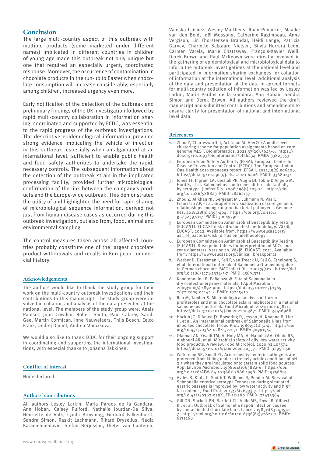### **Conclusion**

The large multi-country aspect of this outbreak with multiple products (some marketed under different names) implicated in different countries in children of young age made this outbreak not only unique but one that required an especially urgent, coordinated response. Moreover, the occurrence of contamination in chocolate products in the run-up to Easter when chocolate consumption will increase considerably, especially among children, increased urgency even more.

Early notification of the detection of the outbreak and preliminary findings of the UK investigation followed by rapid multi-country collaboration in information sharing, coordinated and supported by ECDC, was essential to the rapid progress of the outbreak investigations. The descriptive epidemiological information provided strong evidence implicating the vehicle of infection in this outbreak, especially when amalgamated at an international level, sufficient to enable public health and food safety authorities to undertake the rapid, necessary controls. The subsequent information about the detection of the outbreak strain in the implicated processing facility, provided further microbiological confirmation of the link between the company's products and the Europe-wide outbreak. This demonstrated the utility of and highlighted the need for rapid sharing of microbiological sequence information, derived not just from human disease cases as occurred during this outbreak investigation, but also from, food, animal and environmental sampling.

The control measures taken across all affected countries probably constitute one of the largest chocolate product withdrawals and recalls in European commercial history.

#### **Acknowledgements**

The authors would like to thank the study group for their work on the multi-country outbreak investigations and their contributions to this manuscript. The study group were involved in collation and analysis of the data presented at the national level. The members of the study group were: Anais Painset, John Cowden, Robert Smith, Paul Cabrey, Sarah Gee, Martin Cormican, Inne Nauwelaers, Thijs Bosch, Eelco Franz, Ondřej Daniel, Andrea Mancikova.

We would also like to thank ECDC for their ongoing support in coordinating and supporting the international investigations, with especial thanks to Johanna Takkinen.

#### **Conflict of interest**

None declared.

#### **Authors' contributions**

All authors Lesley Larkin, Maria Pardos de la Gandara, Ann Hoban, Caisey Pulford, Nathalie Jourdan-Da Silva, Henriette de Valk, Lynda Browning, Gerhard Falkenhorst, Sandra Simon, Raskit Lachmann, Rikard Dryselius, Nadja Karamehmedovic, Stefan Börjesson, Dieter van Cauteren,

Valeska Laisnez, Wesley Mattheus, Roan Pijnacker, Maaike van den Beld, Joël Mossong, Catherine Ragimbeau, Anne Vergison, Lin Thorstensen Brandal, Heidi Lange, Patricia Garvey, Charlotte Salgaard Nielsen, Silvia Herrera León, Carmen Varela, Marie Chattaway, François-Xavier Weill, Derek Brown and Paul McKeown were directly involved in the gathering of epidemiological and microbiological data to inform the outbreak investigations at the national level and participated in information sharing exchanges for collation of information at the international level. Additional analysis of the data and presentation of the data in agreed formats for multi-country collation of information was led by Lesley Larkin, Maria Pardos de la Gandara, Ann Hoban, Sandra Simon and Derek Brown. All authors reviewed the draft manuscript and submitted contributions and amendments to ensure clarity for presentation of national and international level data.

#### **References**

- Zhou Z, Charlesworth J, Achtman M. HierCC: A multi-level clustering scheme for population assignments based on core genome MLST. Bioinformatics. 2021;37(20):3645-6. https:// doi.org/10.1093/bioinformatics/btab234 PMID: 33823553
- 2. European Food Safety Authority (EFSA), European Centre for Disease Prevention and Control (ECDC). The European Union One Health 2019 zoonoses report. EFSA J. 2021;19(2):e06406. https://doi.org/10.2903/j.efsa.2021.6406 PMID: 33680134
- 3. Jones TF, Ingram LA, Cieslak PR, Vugia DJ, Tobin-D'Angelo M, Hurd S, et al. Salmonellosis outcomes differ substantially by serotype. J Infect Dis. 2008;198(1):109-14. https://doi. org/10.1086/588823 PMID: 18462137
- 4. Zhou Z, Alikhan NF, Sergeant MJ, Luhmann N, Vaz C, Francisco AP, et al. GrapeTree: visualization of core genomic relationships among 100,000 bacterial pathogens. Genome Res. 2018;28(9):1395-404. https://doi.org/10.1101/ gr.232397.117 PMID: 30049790
- 5. European Committee on Antimicrobial Susceptibility Testing (EUCAST). EUCAST disk diffusion test methodology. Växjö, EUCAST; 2022. Available from: https://www.eucast.org/ ast\_of\_bacteria/disk\_diffusion\_methodology
- 6. European Committee on Antimicrobial Susceptibility Testing (EUCAST). Breakpoint tables for interpretation of MICs and zone diameters. Version 10. Växjö, EUCAST; 2021. Available from: https://www.eucast.org/clinical\_breakpoints
- 7. Werber D, Dreesman J, Feil F, van Treeck U, Fell G, Ethelberg S, et al. International outbreak of Salmonella Oranienburg due to German chocolate. BMC Infect Dis. 2005;5(1):7. https://doi. org/10.1186/1471-2334-5-7 PMID: 15691371
- 8. Komitopoulou E, Peñaloza W. Fate of Salmonella in dry confectionery raw materials. J Appl Microbiol. 2009;106(6):1892-900. https://doi.org/10.1111/j.1365- 2672.2009.04144.x PMID: 19245410
- Rao M, Tamber S. Microbiological analysis of frozen profiteroles and mini chocolate eclairs implicated in a national salmonellosis outbreak. Food Microbiol. 2021;100:103871. https://doi.org/10.1016/j.fm.2021.103871 PMID: 34416968
- 10. Hockin JC, D'Aoust JY, Bowering D, Jessop JH, Khanna B, Lior H, et al. An international outbreak of Salmonella Nima from imported chocolate. J Food Prot. 1989;52(1):51-4. https://doi. org/10.4315/0362-028X-52.1.51 PMID: 30991544
- 11. Olaimat AN, Osaili TM, Al-Holy MA, Al-Nabulsi AA, Obaid RS, Alaboudi AR, et al. Microbial safety of oily, low water activity food products: A review. Food Microbiol. 2020;92:103571. https://doi.org/10.1016/j.fm.2020.103571 PMID: 32950156
- 12. Waterman SR, Small PL. Acid-sensitive enteric pathogens are protected from killing under extremely acidic conditions of pH 2.5 when they are inoculated onto certain solid food sources. Appl Environ Microbiol. 1998;64(10):3882-6. https://doi. org/10.1128/AEM.64.10.3882-3886.1998 PMID: 9758814
- 13. Aviles B, Klotz C, Smith T, Williams R, Ponder M. Survival of Salmonella enterica serotype Tennessee during simulated gastric passage is improved by low water activity and high fat content. J Food Prot. 2013;76(2):333-7. https://doi. org/10.4315/0362-028X.JFP-12-280 PMID: 23433384
- 14. Gill ON, Sockett PN, Bartlett CL, Vaile MS, Rowe B, Gilbert RJ, et al. Outbreak of Salmonella napoli infection caused by contaminated chocolate bars. Lancet. 1983;1(8324):574- 7. https://doi.org/10.1016/S0140-6736(83)92822-2 PMID: 6131266